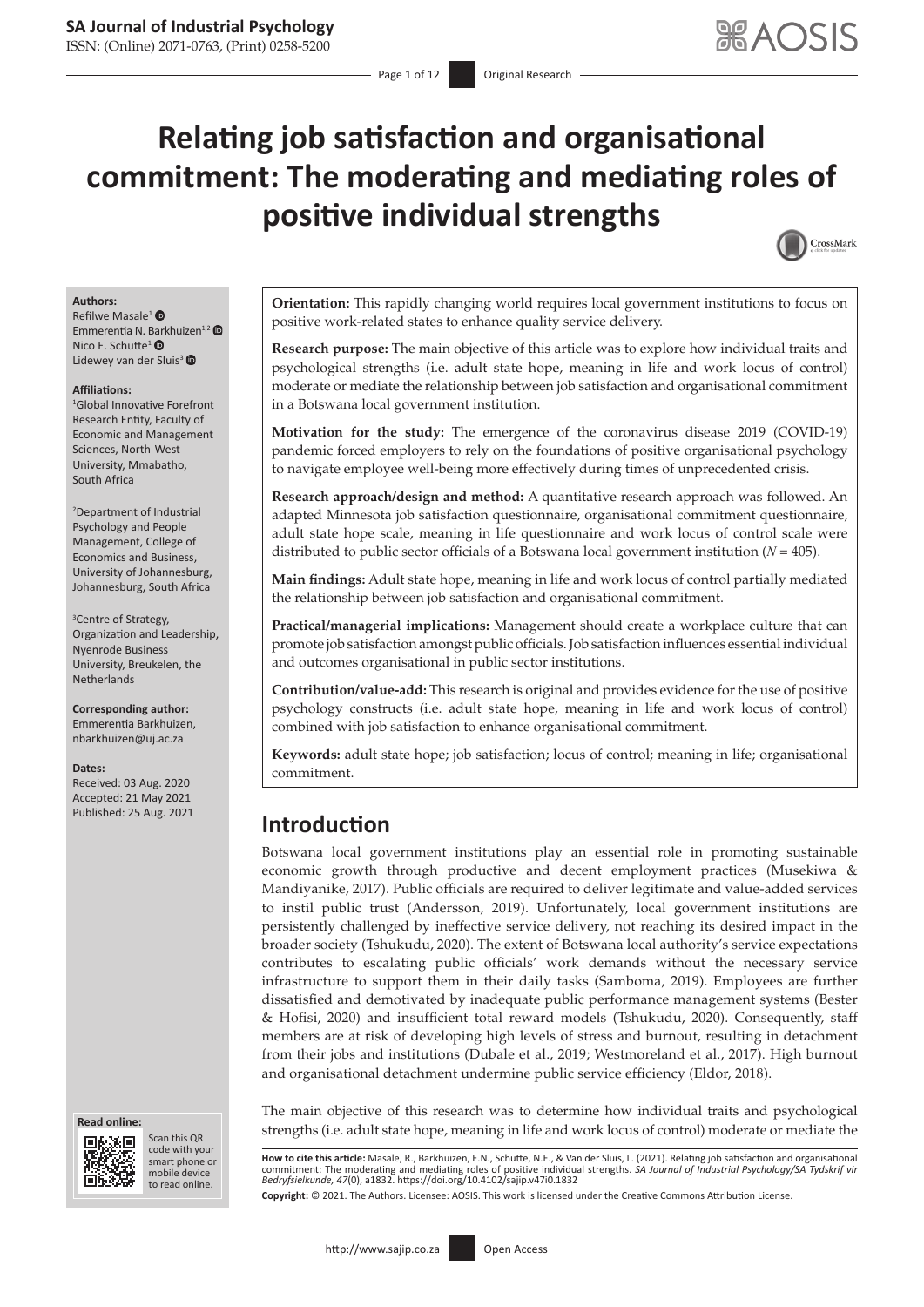# **Relating job satisfaction and organisational commitment: The moderating and mediating roles of positive individual strengths**



#### **Authors:**

Refilwe Masale<sup>[1](https://orcid.org/0000-0002-1330-8798)</sup> <sup>O</sup> Emmerentia N. [Bark](https://orcid.org/0000-0003-3383-9956)huizen<sup>1,[2](https://orcid.org/0000-0002-0459-6716)</sup> Nico E. Schutte<sup>1</sup> ® Lidewey van der Sluis<sup>[3](https://orcid.org/0000-0002-5174-0805)</sup>

#### **Affiliations:**

1 Global Innovative Forefront Research Entity, Faculty of Economic and Management Sciences, North-West University, Mmabatho, South Africa

2 Department of Industrial Psychology and People Management, College of Economics and Business, University of Johannesburg, Johannesburg, South Africa

3 Centre of Strategy, Organization and Leadership, Nyenrode Business University, Breukelen, the Netherlands

**Corresponding author:** Emmerentia Barkhuizen, [nbarkhuizen@uj.ac.za](mailto:nbarkhuizen@uj.ac.za)

#### **Dates:**

Received: 03 Aug. 2020 Accepted: 21 May 2021

#### **Read online: Read online:**



Scan this QR code with your Scan this QR<br>code with your<br>smart phone or<br>mobile device mobile device to read online. to read online.

**Orientation:** This rapidly changing world requires local government institutions to focus on positive work-related states to enhance quality service delivery.

**Research purpose:** The main objective of this article was to explore how individual traits and psychological strengths (i.e. adult state hope, meaning in life and work locus of control) moderate or mediate the relationship between job satisfaction and organisational commitment in a Botswana local government institution.

**Motivation for the study:** The emergence of the coronavirus disease 2019 (COVID-19) pandemic forced employers to rely on the foundations of positive organisational psychology to navigate employee well-being more effectively during times of unprecedented crisis.

**Research approach/design and method:** A quantitative research approach was followed. An adapted Minnesota job satisfaction questionnaire, organisational commitment questionnaire, adult state hope scale, meaning in life questionnaire and work locus of control scale were distributed to public sector officials of a Botswana local government institution (*N* = 405).

**Main findings:** Adult state hope, meaning in life and work locus of control partially mediated the relationship between job satisfaction and organisational commitment.

**Practical/managerial implications:** Management should create a workplace culture that can promote job satisfaction amongst public officials. Job satisfaction influences essential individual and outcomes organisational in public sector institutions.

**Contribution/value-add:** This research is original and provides evidence for the use of positive psychology constructs (i.e. adult state hope, meaning in life and work locus of control) combined with job satisfaction to enhance organisational commitment.

**Keywords:** adult state hope; job satisfaction; locus of control; meaning in life; organisational commitment.

# Published: 25 Aug. 2021 **Introduction**

Botswana local government institutions play an essential role in promoting sustainable economic growth through productive and decent employment practices (Musekiwa & Mandiyanike, 2017). Public officials are required to deliver legitimate and value-added services to instil public trust (Andersson, 2019). Unfortunately, local government institutions are persistently challenged by ineffective service delivery, not reaching its desired impact in the broader society (Tshukudu, 2020). The extent of Botswana local authority's service expectations contributes to escalating public officials' work demands without the necessary service infrastructure to support them in their daily tasks (Samboma, 2019). Employees are further dissatisfied and demotivated by inadequate public performance management systems (Bester & Hofisi, 2020) and insufficient total reward models (Tshukudu, 2020). Consequently, staff members are at risk of developing high levels of stress and burnout, resulting in detachment from their jobs and institutions (Dubale et al., 2019; Westmoreland et al., 2017). High burnout and organisational detachment undermine public service efficiency (Eldor, 2018).

The main objective of this research was to determine how individual traits and psychological strengths (i.e. adult state hope, meaning in life and work locus of control) moderate or mediate the

**How to cite this article:** Masale, R., Barkhuizen, E.N., Schutte, N.E., & Van der Sluis, L. (2021). Relating job satisfaction and organisational commitment: The moderating and mediating roles of positive individual strengths. *SA Journal of Industrial Psychology/SA Tydskrif vir Bedryfsielkunde, 47*(0), a1832.<https://doi.org/10.4102/sajip.v47i0.1832>

**Copyright:** © 2021. The Authors. Licensee: AOSIS. This work is licensed under the Creative Commons Attribution License.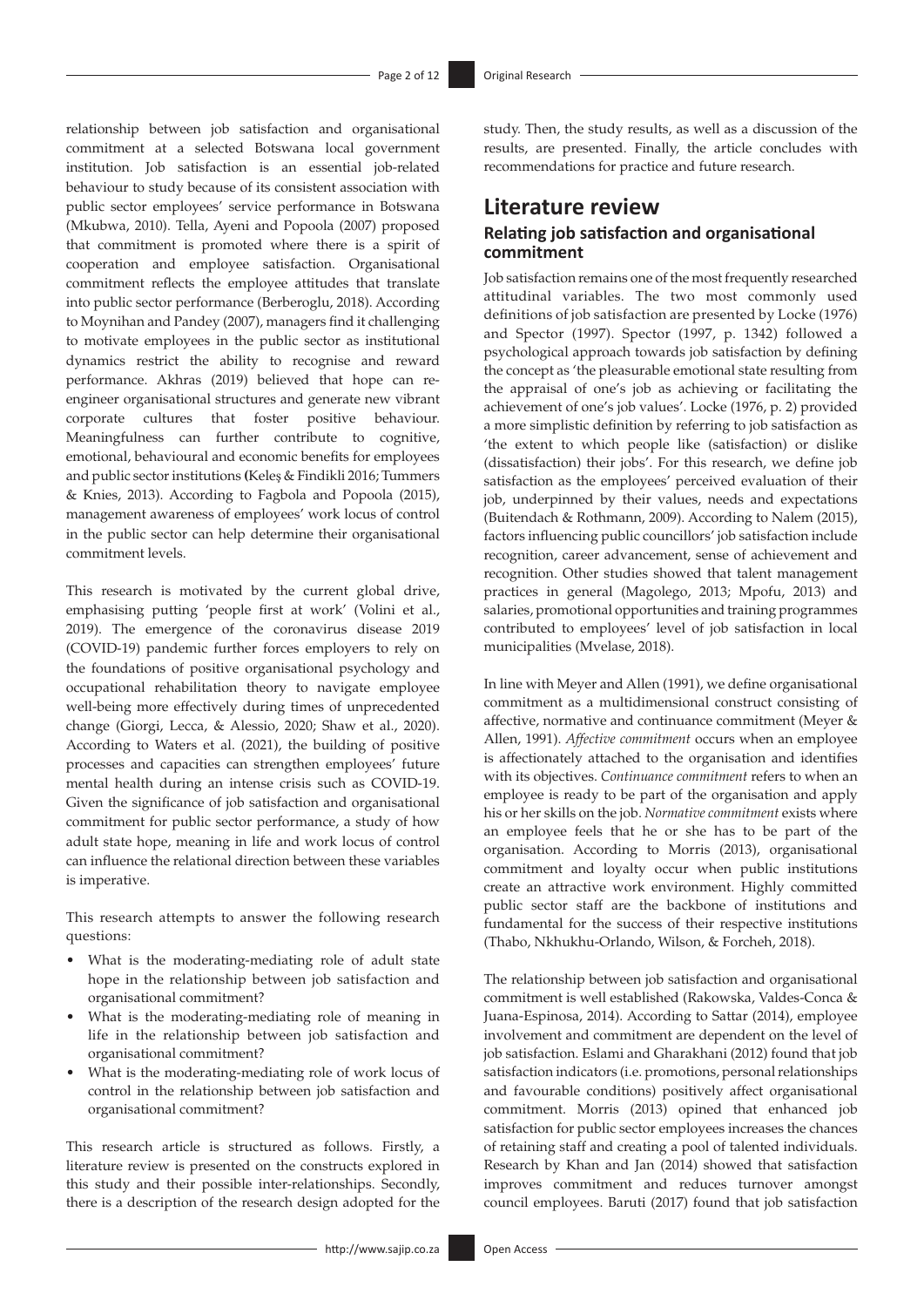relationship between job satisfaction and organisational commitment at a selected Botswana local government institution. Job satisfaction is an essential job-related behaviour to study because of its consistent association with public sector employees' service performance in Botswana (Mkubwa, 2010). Tella, Ayeni and Popoola (2007) proposed that commitment is promoted where there is a spirit of cooperation and employee satisfaction. Organisational commitment reflects the employee attitudes that translate into public sector performance (Berberoglu, 2018). According to Moynihan and Pandey (2007), managers find it challenging to motivate employees in the public sector as institutional dynamics restrict the ability to recognise and reward performance. Akhras (2019) believed that hope can reengineer organisational structures and generate new vibrant corporate cultures that foster positive behaviour. Meaningfulness can further contribute to cognitive, emotional, behavioural and economic benefits for employees and public sector institutions **(**Keleş & Findikli 2016; Tummers & Knies, 2013). According to Fagbola and Popoola (2015), management awareness of employees' work locus of control in the public sector can help determine their organisational commitment levels.

This research is motivated by the current global drive, emphasising putting 'people first at work' (Volini et al., 2019). The emergence of the coronavirus disease 2019 (COVID-19) pandemic further forces employers to rely on the foundations of positive organisational psychology and occupational rehabilitation theory to navigate employee well-being more effectively during times of unprecedented change (Giorgi, Lecca, & Alessio, 2020; Shaw et al., 2020). According to Waters et al. (2021), the building of positive processes and capacities can strengthen employees' future mental health during an intense crisis such as COVID-19. Given the significance of job satisfaction and organisational commitment for public sector performance, a study of how adult state hope, meaning in life and work locus of control can influence the relational direction between these variables is imperative.

This research attempts to answer the following research questions:

- What is the moderating-mediating role of adult state hope in the relationship between job satisfaction and organisational commitment?
- What is the moderating-mediating role of meaning in life in the relationship between job satisfaction and organisational commitment?
- What is the moderating-mediating role of work locus of control in the relationship between job satisfaction and organisational commitment?

This research article is structured as follows. Firstly, a literature review is presented on the constructs explored in this study and their possible inter-relationships. Secondly, there is a description of the research design adopted for the study. Then, the study results, as well as a discussion of the results, are presented. Finally, the article concludes with recommendations for practice and future research.

# **Literature review**

# **Relating job satisfaction and organisational commitment**

Job satisfaction remains one of the most frequently researched attitudinal variables. The two most commonly used definitions of job satisfaction are presented by Locke (1976) and Spector (1997). Spector (1997, p. 1342) followed a psychological approach towards job satisfaction by defining the concept as 'the pleasurable emotional state resulting from the appraisal of one's job as achieving or facilitating the achievement of one's job values'. Locke (1976, p. 2) provided a more simplistic definition by referring to job satisfaction as 'the extent to which people like (satisfaction) or dislike (dissatisfaction) their jobs'. For this research, we define job satisfaction as the employees' perceived evaluation of their job, underpinned by their values, needs and expectations (Buitendach & Rothmann, 2009). According to Nalem (2015), factors influencing public councillors' job satisfaction include recognition, career advancement, sense of achievement and recognition. Other studies showed that talent management practices in general (Magolego, 2013; Mpofu, 2013) and salaries, promotional opportunities and training programmes contributed to employees' level of job satisfaction in local municipalities (Mvelase, 2018).

In line with Meyer and Allen (1991), we define organisational commitment as a multidimensional construct consisting of affective, normative and continuance commitment (Meyer & Allen, 1991). *Affective commitment* occurs when an employee is affectionately attached to the organisation and identifies with its objectives. *Continuance commitment* refers to when an employee is ready to be part of the organisation and apply his or her skills on the job. *Normative commitment* exists where an employee feels that he or she has to be part of the organisation. According to Morris (2013), organisational commitment and loyalty occur when public institutions create an attractive work environment. Highly committed public sector staff are the backbone of institutions and fundamental for the success of their respective institutions (Thabo, Nkhukhu-Orlando, Wilson, & Forcheh, 2018).

The relationship between job satisfaction and organisational commitment is well established (Rakowska, Valdes-Conca & Juana-Espinosa, 2014). According to Sattar (2014), employee involvement and commitment are dependent on the level of job satisfaction. Eslami and Gharakhani (2012) found that job satisfaction indicators (i.e. promotions, personal relationships and favourable conditions) positively affect organisational commitment. Morris (2013) opined that enhanced job satisfaction for public sector employees increases the chances of retaining staff and creating a pool of talented individuals. Research by Khan and Jan (2014) showed that satisfaction improves commitment and reduces turnover amongst council employees. Baruti (2017) found that job satisfaction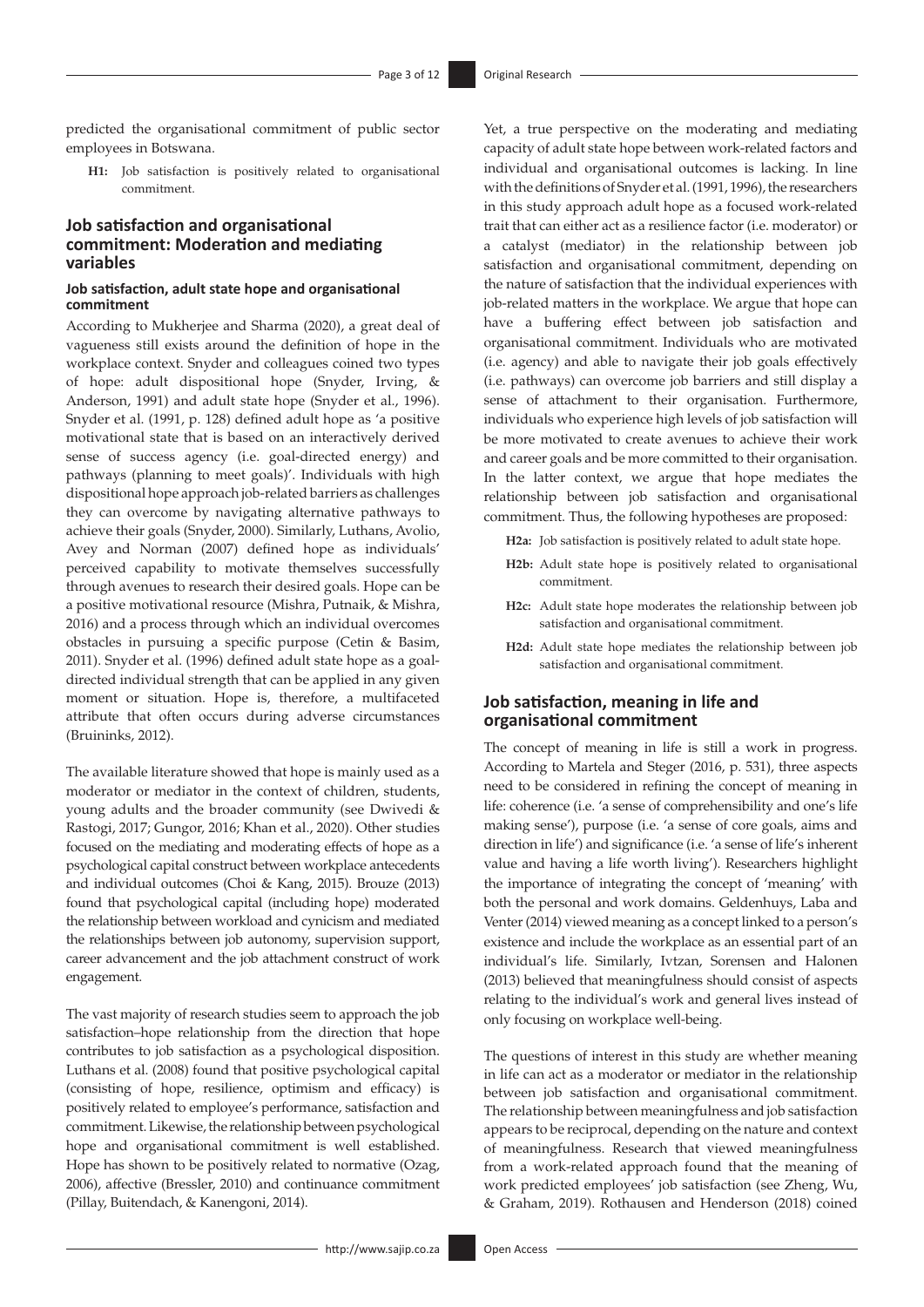predicted the organisational commitment of public sector employees in Botswana.

**H1:** Job satisfaction is positively related to organisational commitment.

# **Job satisfaction and organisational commitment: Moderation and mediating variables**

#### **Job satisfaction, adult state hope and organisational commitment**

According to Mukherjee and Sharma (2020), a great deal of vagueness still exists around the definition of hope in the workplace context. Snyder and colleagues coined two types of hope: adult dispositional hope (Snyder, Irving, & Anderson, 1991) and adult state hope (Snyder et al., 1996). Snyder et al. (1991, p. 128) defined adult hope as 'a positive motivational state that is based on an interactively derived sense of success agency (i.e. goal-directed energy) and pathways (planning to meet goals)'. Individuals with high dispositional hope approach job-related barriers as challenges they can overcome by navigating alternative pathways to achieve their goals (Snyder, 2000). Similarly, Luthans, Avolio, Avey and Norman (2007) defined hope as individuals' perceived capability to motivate themselves successfully through avenues to research their desired goals. Hope can be a positive motivational resource (Mishra, Putnaik, & Mishra, 2016) and a process through which an individual overcomes obstacles in pursuing a specific purpose (Cetin & Basim, 2011). Snyder et al. (1996) defined adult state hope as a goaldirected individual strength that can be applied in any given moment or situation. Hope is, therefore, a multifaceted attribute that often occurs during adverse circumstances (Bruininks, 2012).

The available literature showed that hope is mainly used as a moderator or mediator in the context of children, students, young adults and the broader community (see Dwivedi & Rastogi, 2017; Gungor, 2016; Khan et al., 2020). Other studies focused on the mediating and moderating effects of hope as a psychological capital construct between workplace antecedents and individual outcomes (Choi & Kang, 2015). Brouze (2013) found that psychological capital (including hope) moderated the relationship between workload and cynicism and mediated the relationships between job autonomy, supervision support, career advancement and the job attachment construct of work engagement.

The vast majority of research studies seem to approach the job satisfaction–hope relationship from the direction that hope contributes to job satisfaction as a psychological disposition. Luthans et al. (2008) found that positive psychological capital (consisting of hope, resilience, optimism and efficacy) is positively related to employee's performance, satisfaction and commitment. Likewise, the relationship between psychological hope and organisational commitment is well established. Hope has shown to be positively related to normative (Ozag, 2006), affective (Bressler, 2010) and continuance commitment (Pillay, Buitendach, & Kanengoni, 2014).

Yet, a true perspective on the moderating and mediating capacity of adult state hope between work-related factors and individual and organisational outcomes is lacking. In line with the definitions of Snyder et al. (1991, 1996), the researchers in this study approach adult hope as a focused work-related trait that can either act as a resilience factor (i.e. moderator) or a catalyst (mediator) in the relationship between job satisfaction and organisational commitment, depending on the nature of satisfaction that the individual experiences with job-related matters in the workplace. We argue that hope can have a buffering effect between job satisfaction and organisational commitment. Individuals who are motivated (i.e. agency) and able to navigate their job goals effectively (i.e. pathways) can overcome job barriers and still display a sense of attachment to their organisation. Furthermore, individuals who experience high levels of job satisfaction will be more motivated to create avenues to achieve their work and career goals and be more committed to their organisation. In the latter context, we argue that hope mediates the relationship between job satisfaction and organisational commitment. Thus, the following hypotheses are proposed:

**H2a:** Job satisfaction is positively related to adult state hope.

- **H2b:** Adult state hope is positively related to organisational commitment.
- **H2c:** Adult state hope moderates the relationship between job satisfaction and organisational commitment.
- **H2d:** Adult state hope mediates the relationship between job satisfaction and organisational commitment.

# **Job satisfaction, meaning in life and organisational commitment**

The concept of meaning in life is still a work in progress. According to Martela and Steger (2016, p. 531), three aspects need to be considered in refining the concept of meaning in life: coherence (i.e. 'a sense of comprehensibility and one's life making sense'), purpose (i.e. 'a sense of core goals, aims and direction in life') and significance (i.e. 'a sense of life's inherent value and having a life worth living'). Researchers highlight the importance of integrating the concept of 'meaning' with both the personal and work domains. Geldenhuys, Laba and Venter (2014) viewed meaning as a concept linked to a person's existence and include the workplace as an essential part of an individual's life. Similarly, Ivtzan, Sorensen and Halonen (2013) believed that meaningfulness should consist of aspects relating to the individual's work and general lives instead of only focusing on workplace well-being.

The questions of interest in this study are whether meaning in life can act as a moderator or mediator in the relationship between job satisfaction and organisational commitment. The relationship between meaningfulness and job satisfaction appears to be reciprocal, depending on the nature and context of meaningfulness. Research that viewed meaningfulness from a work-related approach found that the meaning of work predicted employees' job satisfaction (see Zheng, Wu, & Graham, 2019). Rothausen and Henderson (2018) coined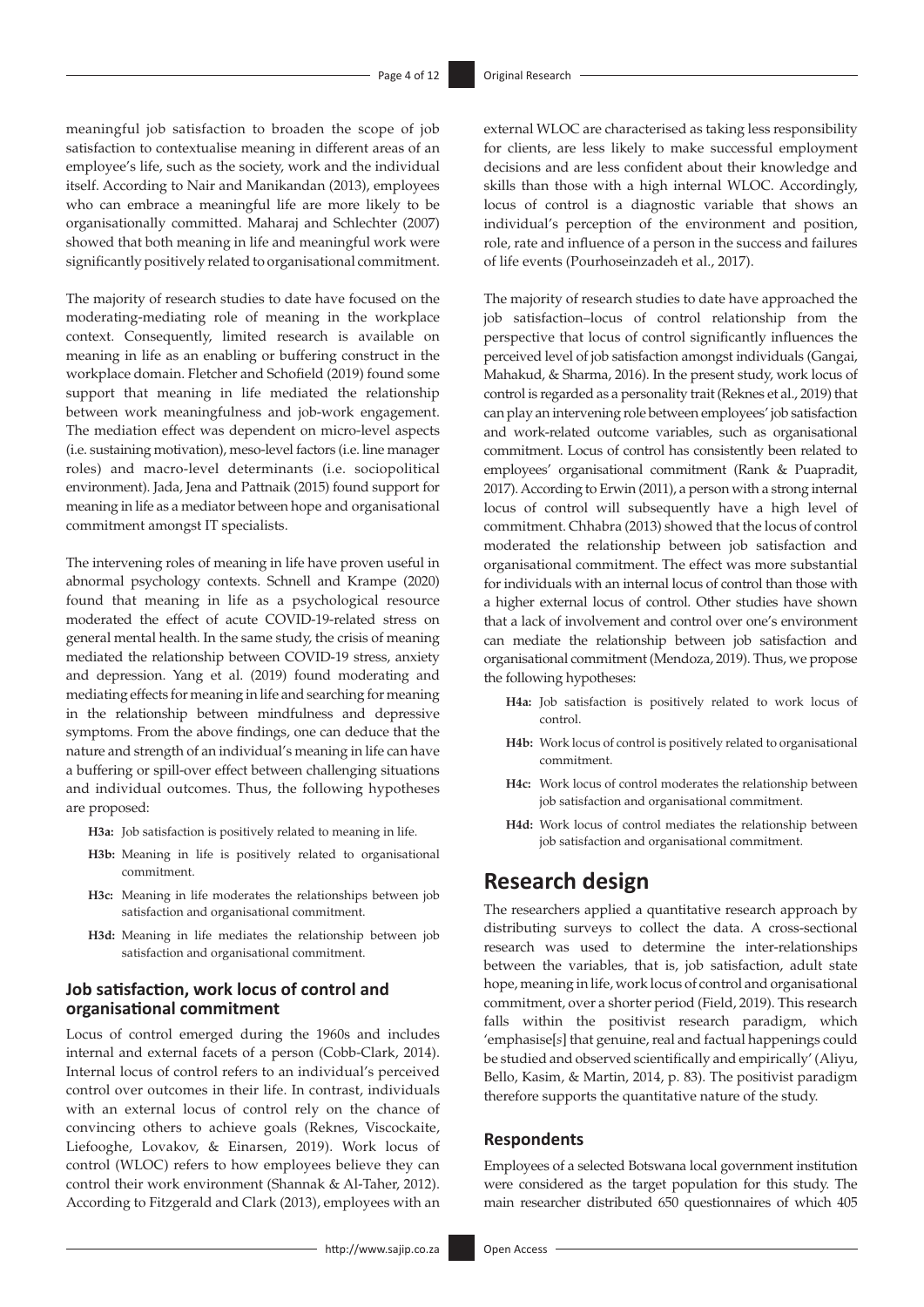meaningful job satisfaction to broaden the scope of job satisfaction to contextualise meaning in different areas of an employee's life, such as the society, work and the individual itself. According to Nair and Manikandan (2013), employees who can embrace a meaningful life are more likely to be organisationally committed. Maharaj and Schlechter (2007) showed that both meaning in life and meaningful work were significantly positively related to organisational commitment.

The majority of research studies to date have focused on the moderating-mediating role of meaning in the workplace context. Consequently, limited research is available on meaning in life as an enabling or buffering construct in the workplace domain. Fletcher and Schofield (2019) found some support that meaning in life mediated the relationship between work meaningfulness and job-work engagement. The mediation effect was dependent on micro-level aspects (i.e. sustaining motivation), meso-level factors (i.e. line manager roles) and macro-level determinants (i.e. sociopolitical environment). Jada, Jena and Pattnaik (2015) found support for meaning in life as a mediator between hope and organisational commitment amongst IT specialists.

The intervening roles of meaning in life have proven useful in abnormal psychology contexts. Schnell and Krampe (2020) found that meaning in life as a psychological resource moderated the effect of acute COVID-19-related stress on general mental health. In the same study, the crisis of meaning mediated the relationship between COVID-19 stress, anxiety and depression. Yang et al. (2019) found moderating and mediating effects for meaning in life and searching for meaning in the relationship between mindfulness and depressive symptoms. From the above findings, one can deduce that the nature and strength of an individual's meaning in life can have a buffering or spill-over effect between challenging situations and individual outcomes. Thus, the following hypotheses are proposed:

**H3a:** Job satisfaction is positively related to meaning in life.

- **H3b:** Meaning in life is positively related to organisational commitment.
- **H3c:** Meaning in life moderates the relationships between job satisfaction and organisational commitment.
- **H3d:** Meaning in life mediates the relationship between job satisfaction and organisational commitment.

# **Job satisfaction, work locus of control and organisational commitment**

Locus of control emerged during the 1960s and includes internal and external facets of a person (Cobb-Clark, 2014). Internal locus of control refers to an individual's perceived control over outcomes in their life. In contrast, individuals with an external locus of control rely on the chance of convincing others to achieve goals (Reknes, Viscockaite, Liefooghe, Lovakov, & Einarsen, 2019). Work locus of control (WLOC) refers to how employees believe they can control their work environment (Shannak & Al-Taher, 2012). According to Fitzgerald and Clark (2013), employees with an

external WLOC are characterised as taking less responsibility for clients, are less likely to make successful employment decisions and are less confident about their knowledge and skills than those with a high internal WLOC. Accordingly, locus of control is a diagnostic variable that shows an individual's perception of the environment and position, role, rate and influence of a person in the success and failures of life events (Pourhoseinzadeh et al., 2017).

The majority of research studies to date have approached the job satisfaction–locus of control relationship from the perspective that locus of control significantly influences the perceived level of job satisfaction amongst individuals (Gangai, Mahakud, & Sharma, 2016). In the present study, work locus of control is regarded as a personality trait (Reknes et al., 2019) that can play an intervening role between employees' job satisfaction and work-related outcome variables, such as organisational commitment. Locus of control has consistently been related to employees' organisational commitment (Rank & Puapradit, 2017). According to Erwin (2011), a person with a strong internal locus of control will subsequently have a high level of commitment. Chhabra (2013) showed that the locus of control moderated the relationship between job satisfaction and organisational commitment. The effect was more substantial for individuals with an internal locus of control than those with a higher external locus of control. Other studies have shown that a lack of involvement and control over one's environment can mediate the relationship between job satisfaction and organisational commitment (Mendoza, 2019). Thus, we propose the following hypotheses:

- **H4a:** Job satisfaction is positively related to work locus of control.
- **H4b:** Work locus of control is positively related to organisational commitment.
- **H4c:** Work locus of control moderates the relationship between job satisfaction and organisational commitment.
- **H4d:** Work locus of control mediates the relationship between job satisfaction and organisational commitment.

# **Research design**

The researchers applied a quantitative research approach by distributing surveys to collect the data. A cross-sectional research was used to determine the inter-relationships between the variables, that is, job satisfaction, adult state hope, meaning in life, work locus of control and organisational commitment, over a shorter period (Field, 2019). This research falls within the positivist research paradigm, which 'emphasise[*s*] that genuine, real and factual happenings could be studied and observed scientifically and empirically' (Aliyu, Bello, Kasim, & Martin, 2014, p. 83). The positivist paradigm therefore supports the quantitative nature of the study.

## **Respondents**

Employees of a selected Botswana local government institution were considered as the target population for this study. The main researcher distributed 650 questionnaires of which 405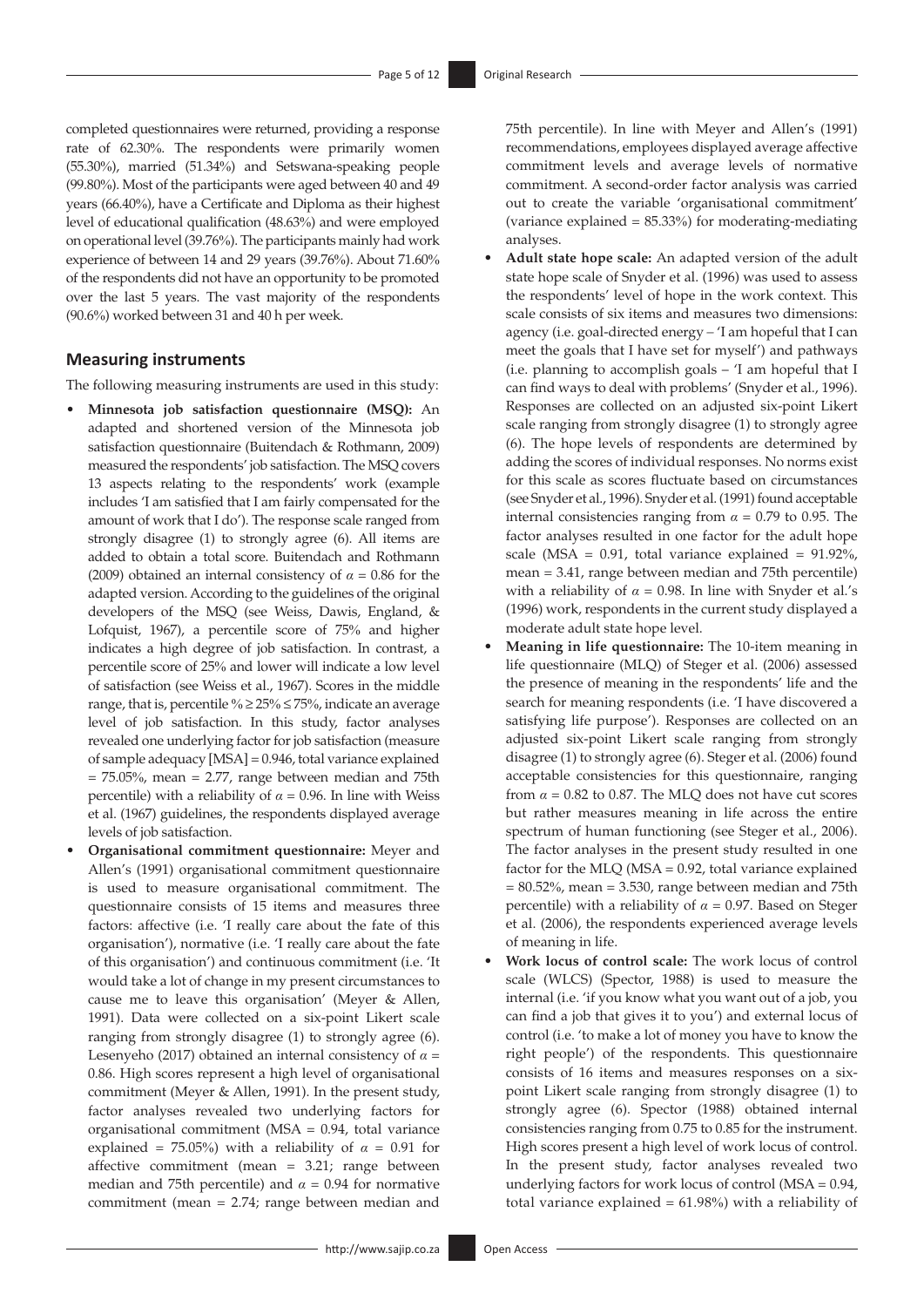completed questionnaires were returned, providing a response rate of 62.30%. The respondents were primarily women (55.30%), married (51.34%) and Setswana-speaking people (99.80%). Most of the participants were aged between 40 and 49 years (66.40%), have a Certificate and Diploma as their highest level of educational qualification (48.63%) and were employed on operational level (39.76%). The participants mainly had work experience of between 14 and 29 years (39.76%). About 71.60% of the respondents did not have an opportunity to be promoted over the last 5 years. The vast majority of the respondents (90.6%) worked between 31 and 40 h per week.

#### **Measuring instruments**

The following measuring instruments are used in this study:

- **Minnesota job satisfaction questionnaire (MSQ):** An adapted and shortened version of the Minnesota job satisfaction questionnaire (Buitendach & Rothmann, 2009) measured the respondents' job satisfaction. The MSQ covers 13 aspects relating to the respondents' work (example includes 'I am satisfied that I am fairly compensated for the amount of work that I do'). The response scale ranged from strongly disagree (1) to strongly agree (6). All items are added to obtain a total score. Buitendach and Rothmann (2009) obtained an internal consistency of  $\alpha = 0.86$  for the adapted version. According to the guidelines of the original developers of the MSQ (see Weiss, Dawis, England, & Lofquist, 1967), a percentile score of 75% and higher indicates a high degree of job satisfaction. In contrast, a percentile score of 25% and lower will indicate a low level of satisfaction (see Weiss et al., 1967). Scores in the middle range, that is, percentile %  $\geq$  25%  $\leq$  75%, indicate an average level of job satisfaction. In this study, factor analyses revealed one underlying factor for job satisfaction (measure of sample adequacy [MSA] = 0.946, total variance explained  $= 75.05\%$ , mean  $= 2.77$ , range between median and 75th percentile) with a reliability of  $\alpha$  = 0.96. In line with Weiss et al. (1967) guidelines, the respondents displayed average levels of job satisfaction.
- **Organisational commitment questionnaire:** Meyer and Allen's (1991) organisational commitment questionnaire is used to measure organisational commitment. The questionnaire consists of 15 items and measures three factors: affective (i.e. 'I really care about the fate of this organisation'), normative (i.e. 'I really care about the fate of this organisation') and continuous commitment (i.e. 'It would take a lot of change in my present circumstances to cause me to leave this organisation' (Meyer & Allen, 1991). Data were collected on a six-point Likert scale ranging from strongly disagree (1) to strongly agree (6). Lesenyeho (2017) obtained an internal consistency of *α* = 0.86. High scores represent a high level of organisational commitment (Meyer & Allen, 1991). In the present study, factor analyses revealed two underlying factors for organisational commitment (MSA = 0.94, total variance explained = 75.05%) with a reliability of  $\alpha = 0.91$  for affective commitment (mean = 3.21; range between median and 75th percentile) and  $\alpha$  = 0.94 for normative commitment (mean = 2.74; range between median and

75th percentile). In line with Meyer and Allen's (1991) recommendations, employees displayed average affective commitment levels and average levels of normative commitment. A second-order factor analysis was carried out to create the variable 'organisational commitment' (variance explained = 85.33%) for moderating-mediating analyses.

- **Adult state hope scale:** An adapted version of the adult state hope scale of Snyder et al. (1996) was used to assess the respondents' level of hope in the work context. This scale consists of six items and measures two dimensions: agency (i.e. goal-directed energy *–* 'I am hopeful that I can meet the goals that I have set for myself') and pathways (i.e. planning to accomplish goals – 'I am hopeful that I can find ways to deal with problems' (Snyder et al., 1996). Responses are collected on an adjusted six-point Likert scale ranging from strongly disagree (1) to strongly agree (6). The hope levels of respondents are determined by adding the scores of individual responses. No norms exist for this scale as scores fluctuate based on circumstances (see Snyder et al., 1996). Snyder et al. (1991) found acceptable internal consistencies ranging from  $\alpha = 0.79$  to 0.95. The factor analyses resulted in one factor for the adult hope scale (MSA =  $0.91$ , total variance explained =  $91.92\%$ , mean = 3.41, range between median and 75th percentile) with a reliability of  $\alpha = 0.98$ . In line with Snyder et al.'s (1996) work, respondents in the current study displayed a moderate adult state hope level.
- **Meaning in life questionnaire:** The 10-item meaning in life questionnaire (MLQ) of Steger et al. (2006) assessed the presence of meaning in the respondents' life and the search for meaning respondents (i.e. 'I have discovered a satisfying life purpose'). Responses are collected on an adjusted six-point Likert scale ranging from strongly disagree (1) to strongly agree (6). Steger et al. (2006) found acceptable consistencies for this questionnaire, ranging from  $\alpha$  = 0.82 to 0.87. The MLQ does not have cut scores but rather measures meaning in life across the entire spectrum of human functioning (see Steger et al., 2006). The factor analyses in the present study resulted in one factor for the MLQ (MSA = 0.92, total variance explained  $= 80.52\%$ , mean  $= 3.530$ , range between median and 75th percentile) with a reliability of  $\alpha$  = 0.97. Based on Steger et al. (2006), the respondents experienced average levels of meaning in life.
- **Work locus of control scale:** The work locus of control scale (WLCS) (Spector, 1988) is used to measure the internal (i.e. 'if you know what you want out of a job, you can find a job that gives it to you') and external locus of control (i.e. 'to make a lot of money you have to know the right people') of the respondents. This questionnaire consists of 16 items and measures responses on a sixpoint Likert scale ranging from strongly disagree (1) to strongly agree (6). Spector (1988) obtained internal consistencies ranging from 0.75 to 0.85 for the instrument. High scores present a high level of work locus of control. In the present study, factor analyses revealed two underlying factors for work locus of control (MSA = 0.94, total variance explained  $= 61.98\%$ ) with a reliability of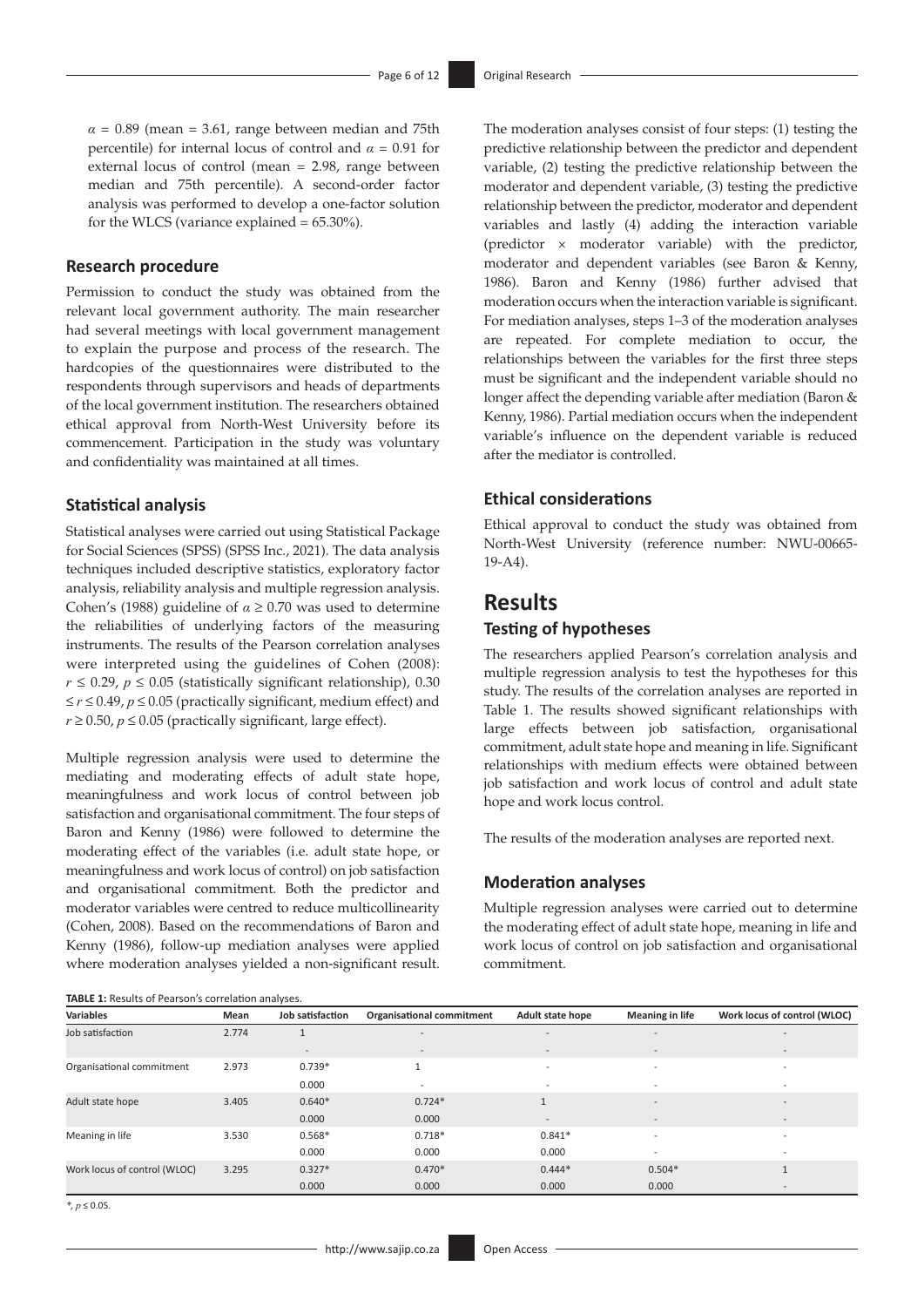$\alpha$  = 0.89 (mean = 3.61, range between median and 75th percentile) for internal locus of control and  $\alpha = 0.91$  for external locus of control (mean = 2.98, range between median and 75th percentile). A second-order factor analysis was performed to develop a one-factor solution for the WLCS (variance explained  $= 65.30\%$ ).

# **Research procedure**

Permission to conduct the study was obtained from the relevant local government authority. The main researcher had several meetings with local government management to explain the purpose and process of the research. The hardcopies of the questionnaires were distributed to the respondents through supervisors and heads of departments of the local government institution. The researchers obtained ethical approval from North-West University before its commencement. Participation in the study was voluntary and confidentiality was maintained at all times.

## **Statistical analysis**

Statistical analyses were carried out using Statistical Package for Social Sciences (SPSS) (SPSS Inc., 2021). The data analysis techniques included descriptive statistics, exploratory factor analysis, reliability analysis and multiple regression analysis. Cohen's (1988) guideline of *α* ≥ 0.70 was used to determine the reliabilities of underlying factors of the measuring instruments. The results of the Pearson correlation analyses were interpreted using the guidelines of Cohen (2008): *r* ≤ 0.29, *p* ≤ 0.05 (statistically significant relationship), 0.30 ≤ *r* ≤ 0.49, *p* ≤ 0.05 (practically significant, medium effect) and  $r \ge 0.50$ ,  $p \le 0.05$  (practically significant, large effect).

Multiple regression analysis were used to determine the mediating and moderating effects of adult state hope, meaningfulness and work locus of control between job satisfaction and organisational commitment. The four steps of Baron and Kenny (1986) were followed to determine the moderating effect of the variables (i.e. adult state hope, or meaningfulness and work locus of control) on job satisfaction and organisational commitment. Both the predictor and moderator variables were centred to reduce multicollinearity (Cohen, 2008). Based on the recommendations of Baron and Kenny (1986), follow-up mediation analyses were applied where moderation analyses yielded a non-significant result.

The moderation analyses consist of four steps: (1) testing the predictive relationship between the predictor and dependent variable, (2) testing the predictive relationship between the moderator and dependent variable, (3) testing the predictive relationship between the predictor, moderator and dependent variables and lastly (4) adding the interaction variable (predictor × moderator variable) with the predictor, moderator and dependent variables (see Baron & Kenny, 1986). Baron and Kenny (1986) further advised that moderation occurs when the interaction variable is significant. For mediation analyses, steps 1–3 of the moderation analyses are repeated. For complete mediation to occur, the relationships between the variables for the first three steps must be significant and the independent variable should no longer affect the depending variable after mediation (Baron & Kenny, 1986). Partial mediation occurs when the independent variable's influence on the dependent variable is reduced after the mediator is controlled.

# **Ethical considerations**

Ethical approval to conduct the study was obtained from North-West University (reference number: NWU-00665- 19-A4).

# **Results**

## **Testing of hypotheses**

The researchers applied Pearson's correlation analysis and multiple regression analysis to test the hypotheses for this study. The results of the correlation analyses are reported in Table 1. The results showed significant relationships with large effects between job satisfaction, organisational commitment, adult state hope and meaning in life. Significant relationships with medium effects were obtained between job satisfaction and work locus of control and adult state hope and work locus control.

The results of the moderation analyses are reported next.

## **Moderation analyses**

Multiple regression analyses were carried out to determine the moderating effect of adult state hope, meaning in life and work locus of control on job satisfaction and organisational commitment.

| TABLE 1: Results of Pearson's correlation analyses. |       |                          |                                  |                          |                          |                              |
|-----------------------------------------------------|-------|--------------------------|----------------------------------|--------------------------|--------------------------|------------------------------|
| <b>Variables</b>                                    | Mean  | Job satisfaction         | <b>Organisational commitment</b> | Adult state hope         | <b>Meaning in life</b>   | Work locus of control (WLOC) |
| Job satisfaction                                    | 2.774 |                          | $\overline{\phantom{0}}$         | $\overline{\phantom{a}}$ | $\qquad \qquad -$        | $\overline{\phantom{a}}$     |
|                                                     |       | $\overline{\phantom{a}}$ | $\overline{\phantom{0}}$         | $\overline{\phantom{a}}$ | $\qquad \qquad -$        | $\overline{\phantom{a}}$     |
| Organisational commitment                           | 2.973 | $0.739*$                 |                                  | $\overline{\phantom{a}}$ | $\overline{\phantom{a}}$ | $\overline{\phantom{a}}$     |
|                                                     |       | 0.000                    | $\overline{\phantom{a}}$         | $\overline{\phantom{0}}$ |                          |                              |
| Adult state hope                                    | 3.405 | $0.640*$                 | $0.724*$                         |                          | $\overline{\phantom{a}}$ | $\overline{\phantom{a}}$     |
|                                                     |       | 0.000                    | 0.000                            | $\overline{\phantom{a}}$ |                          | $\overline{\phantom{a}}$     |
| Meaning in life                                     | 3.530 | $0.568*$                 | $0.718*$                         | $0.841*$                 | $\overline{\phantom{a}}$ | $\overline{\phantom{a}}$     |
|                                                     |       | 0.000                    | 0.000                            | 0.000                    | -                        |                              |
| Work locus of control (WLOC)                        | 3.295 | $0.327*$                 | $0.470*$                         | $0.444*$                 | $0.504*$                 |                              |
|                                                     |       | 0.000                    | 0.000                            | 0.000                    | 0.000                    |                              |

*\*, p* ≤ 0.05.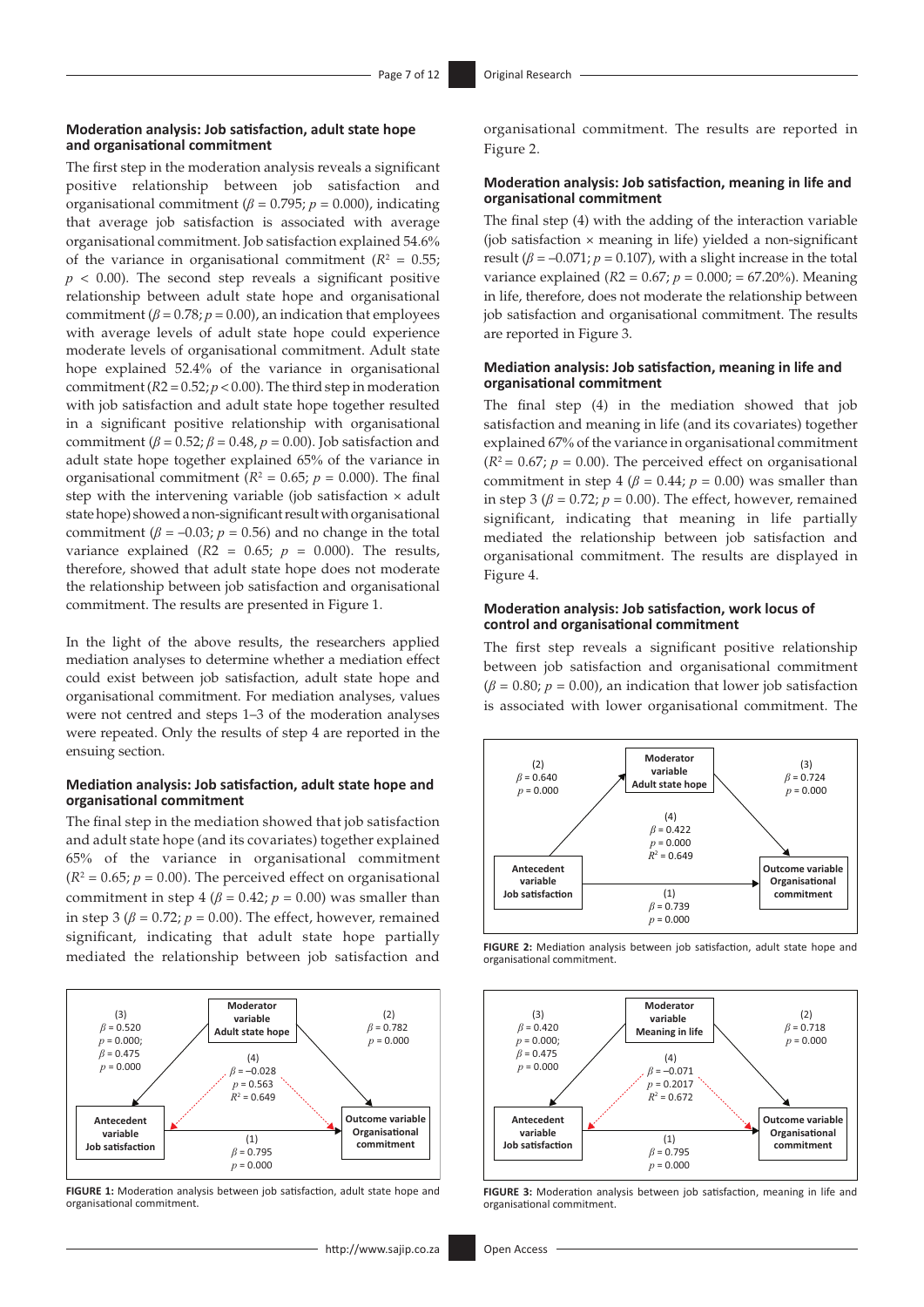#### **Moderation analysis: Job satisfaction, adult state hope and organisational commitment**

The first step in the moderation analysis reveals a significant positive relationship between job satisfaction and organisational commitment ( $\beta$  = 0.795;  $p$  = 0.000), indicating that average job satisfaction is associated with average organisational commitment. Job satisfaction explained 54.6% of the variance in organisational commitment  $(R^2 = 0.55)$ ;  $p < 0.00$ ). The second step reveals a significant positive relationship between adult state hope and organisational commitment  $(\beta = 0.78; p = 0.00)$ , an indication that employees with average levels of adult state hope could experience moderate levels of organisational commitment. Adult state hope explained 52.4% of the variance in organisational commitment  $(R2 = 0.52; p < 0.00)$ . The third step in moderation with job satisfaction and adult state hope together resulted in a significant positive relationship with organisational commitment ( $\beta$  = 0.52;  $\beta$  = 0.48,  $p$  = 0.00). Job satisfaction and adult state hope together explained 65% of the variance in organisational commitment ( $R^2 = 0.65$ ;  $p = 0.000$ ). The final step with the intervening variable (job satisfaction  $\times$  adult state hope) showed a non-significant result with organisational commitment ( $\beta$  = –0.03;  $p$  = 0.56) and no change in the total variance explained ( $R2 = 0.65$ ;  $p = 0.000$ ). The results, therefore, showed that adult state hope does not moderate the relationship between job satisfaction and organisational commitment. The results are presented in Figure 1.

In the light of the above results, the researchers applied mediation analyses to determine whether a mediation effect could exist between job satisfaction, adult state hope and organisational commitment. For mediation analyses, values were not centred and steps 1–3 of the moderation analyses were repeated. Only the results of step 4 are reported in the ensuing section.

#### **Mediation analysis: Job satisfaction, adult state hope and organisational commitment**

The final step in the mediation showed that job satisfaction and adult state hope (and its covariates) together explained 65% of the variance in organisational commitment  $(R<sup>2</sup> = 0.65; p = 0.00)$ . The perceived effect on organisational commitment in step 4 ( $\beta$  = 0.42;  $p$  = 0.00) was smaller than in step 3 ( $\beta$  = 0.72;  $p$  = 0.00). The effect, however, remained significant, indicating that adult state hope partially mediated the relationship between job satisfaction and



**FIGURE 1:** Moderation analysis between job satisfaction, adult state hope and organisational commitment.

organisational commitment. The results are reported in Figure 2.

#### **Moderation analysis: Job satisfaction, meaning in life and organisational commitment**

The final step (4) with the adding of the interaction variable (job satisfaction  $\times$  meaning in life) yielded a non-significant result ( $\beta$  = –0.071;  $p$  = 0.107), with a slight increase in the total variance explained (*R*2 = 0.67; *p* = 0.000; = 67.20%). Meaning in life, therefore, does not moderate the relationship between job satisfaction and organisational commitment. The results are reported in Figure 3.

#### **Mediation analysis: Job satisfaction, meaning in life and organisational commitment**

The final step (4) in the mediation showed that job satisfaction and meaning in life (and its covariates) together explained 67% of the variance in organisational commitment  $(R^2 = 0.67; p = 0.00)$ . The perceived effect on organisational commitment in step 4 ( $\beta$  = 0.44;  $p$  = 0.00) was smaller than in step 3 ( $\beta$  = 0.72;  $p$  = 0.00). The effect, however, remained significant, indicating that meaning in life partially mediated the relationship between job satisfaction and organisational commitment. The results are displayed in Figure 4.

#### **Moderation analysis: Job satisfaction, work locus of control and organisational commitment**

The first step reveals a significant positive relationship between job satisfaction and organisational commitment  $(\beta = 0.80; p = 0.00)$ , an indication that lower job satisfaction is associated with lower organisational commitment. The



**FIGURE 2:** Mediation analysis between job satisfaction, adult state hope and organisational commitment.



**FIGURE 3:** Moderation analysis between job satisfaction, meaning in life and organisational commitment.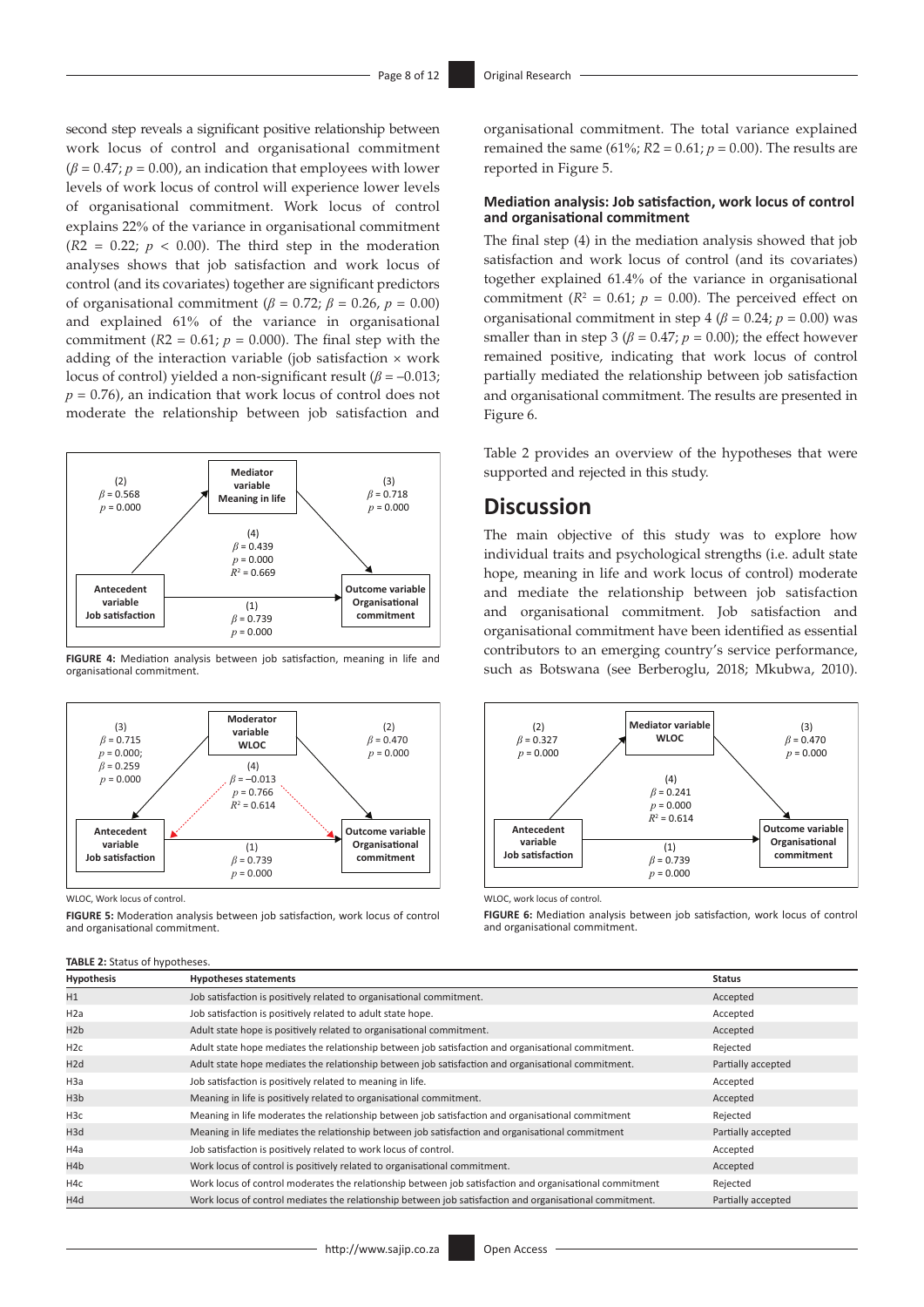second step reveals a significant positive relationship between work locus of control and organisational commitment  $(\beta = 0.47; p = 0.00)$ , an indication that employees with lower levels of work locus of control will experience lower levels of organisational commitment. Work locus of control explains 22% of the variance in organisational commitment  $(R2 = 0.22; p < 0.00)$ . The third step in the moderation analyses shows that job satisfaction and work locus of control (and its covariates) together are significant predictors of organisational commitment ( $\beta$  = 0.72;  $\beta$  = 0.26,  $p$  = 0.00) and explained 61% of the variance in organisational commitment  $(R2 = 0.61; p = 0.000)$ . The final step with the adding of the interaction variable (job satisfaction  $\times$  work locus of control) yielded a non-significant result  $(\beta = -0.013)$ ;  $p = 0.76$ , an indication that work locus of control does not moderate the relationship between job satisfaction and



**FIGURE 4:** Mediation analysis between job satisfaction, meaning in life and organisational commitment.



WLOC, Work locus of control.

**FIGURE 5:** Moderation analysis between job satisfaction, work locus of control and organisational commitment.

## **TABLE 2:** Status of hypotheses.

organisational commitment. The total variance explained remained the same (61%;  $R2 = 0.61$ ;  $p = 0.00$ ). The results are reported in Figure 5.

## **Mediation analysis: Job satisfaction, work locus of control and organisational commitment**

The final step (4) in the mediation analysis showed that job satisfaction and work locus of control (and its covariates) together explained 61.4% of the variance in organisational commitment ( $R^2 = 0.61$ ;  $p = 0.00$ ). The perceived effect on organisational commitment in step  $4 (\beta = 0.24; p = 0.00)$  was smaller than in step 3 ( $\beta$  = 0.47;  $p$  = 0.00); the effect however remained positive, indicating that work locus of control partially mediated the relationship between job satisfaction and organisational commitment. The results are presented in Figure 6.

Table 2 provides an overview of the hypotheses that were supported and rejected in this study.

# **Discussion**

The main objective of this study was to explore how individual traits and psychological strengths (i.e. adult state hope, meaning in life and work locus of control) moderate and mediate the relationship between job satisfaction and organisational commitment. Job satisfaction and organisational commitment have been identified as essential contributors to an emerging country's service performance, such as Botswana (see Berberoglu, 2018; Mkubwa, 2010).



WLOC, work locus of control.

**FIGURE 6:** Mediation analysis between job satisfaction, work locus of control and organisational commitment.

| <b>Hypothesis</b> | <b>Hypotheses statements</b>                                                                            | <b>Status</b>      |
|-------------------|---------------------------------------------------------------------------------------------------------|--------------------|
| H1                | Job satisfaction is positively related to organisational commitment.                                    | Accepted           |
| H <sub>2</sub> a  | Job satisfaction is positively related to adult state hope.                                             | Accepted           |
| H <sub>2</sub> b  | Adult state hope is positively related to organisational commitment.                                    | Accepted           |
| H <sub>2c</sub>   | Adult state hope mediates the relationship between job satisfaction and organisational commitment.      | Rejected           |
| H <sub>2d</sub>   | Adult state hope mediates the relationship between job satisfaction and organisational commitment.      | Partially accepted |
| H3a               | Job satisfaction is positively related to meaning in life.                                              | Accepted           |
| H3b               | Meaning in life is positively related to organisational commitment.                                     | Accepted           |
| H <sub>3c</sub>   | Meaning in life moderates the relationship between job satisfaction and organisational commitment       | Rejected           |
| H3d               | Meaning in life mediates the relationship between job satisfaction and organisational commitment        | Partially accepted |
| H4a               | Job satisfaction is positively related to work locus of control.                                        | Accepted           |
| H4b               | Work locus of control is positively related to organisational commitment.                               | Accepted           |
| H4c               | Work locus of control moderates the relationship between job satisfaction and organisational commitment | Rejected           |
| H4d               | Work locus of control mediates the relationship between job satisfaction and organisational commitment. | Partially accepted |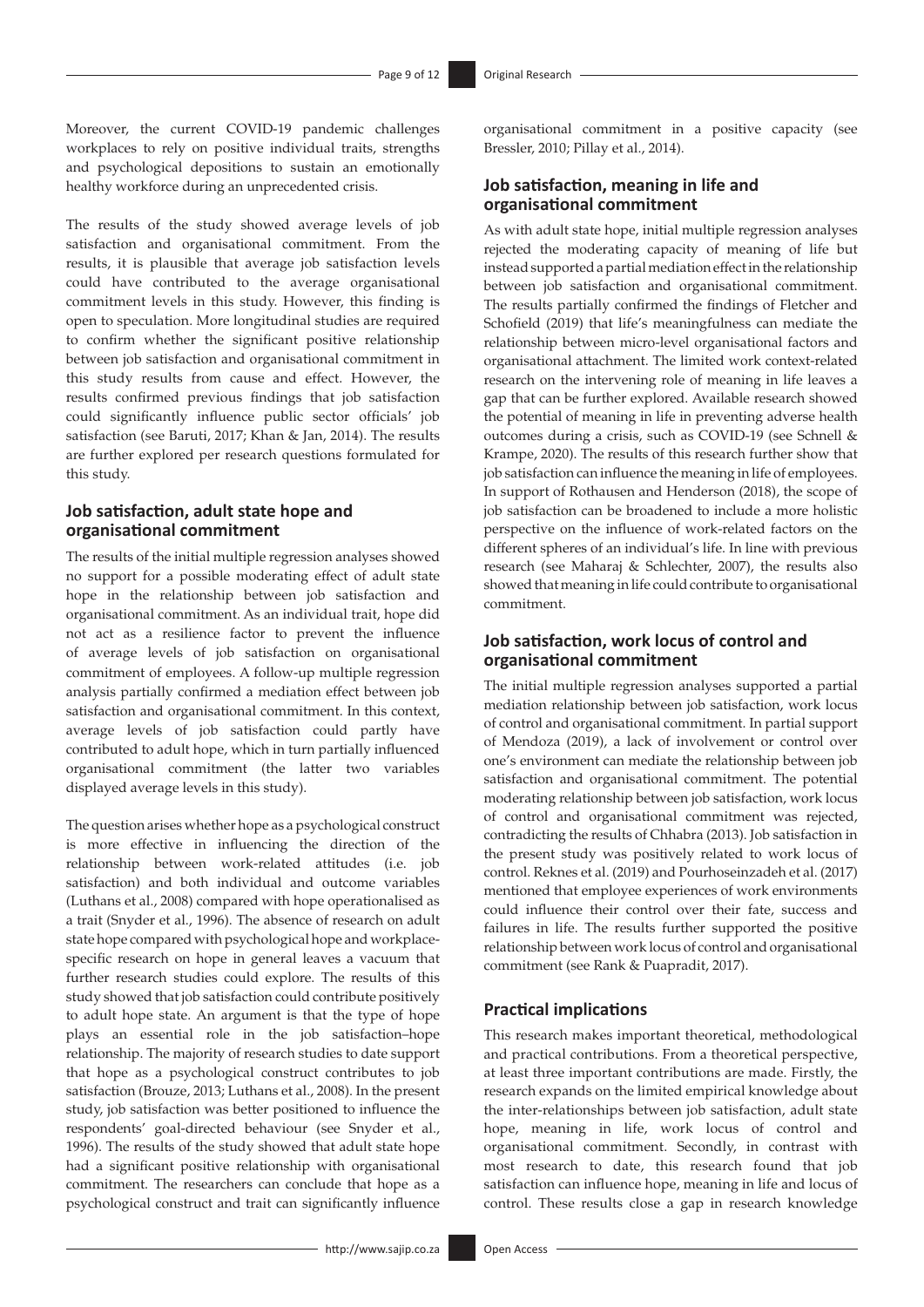Moreover, the current COVID-19 pandemic challenges workplaces to rely on positive individual traits, strengths and psychological depositions to sustain an emotionally healthy workforce during an unprecedented crisis.

The results of the study showed average levels of job satisfaction and organisational commitment. From the results, it is plausible that average job satisfaction levels could have contributed to the average organisational commitment levels in this study. However, this finding is open to speculation. More longitudinal studies are required to confirm whether the significant positive relationship between job satisfaction and organisational commitment in this study results from cause and effect. However, the results confirmed previous findings that job satisfaction could significantly influence public sector officials' job satisfaction (see Baruti, 2017; Khan & Jan, 2014). The results are further explored per research questions formulated for this study.

# **Job satisfaction, adult state hope and organisational commitment**

The results of the initial multiple regression analyses showed no support for a possible moderating effect of adult state hope in the relationship between job satisfaction and organisational commitment. As an individual trait, hope did not act as a resilience factor to prevent the influence of average levels of job satisfaction on organisational commitment of employees. A follow-up multiple regression analysis partially confirmed a mediation effect between job satisfaction and organisational commitment. In this context, average levels of job satisfaction could partly have contributed to adult hope, which in turn partially influenced organisational commitment (the latter two variables displayed average levels in this study).

The question arises whether hope as a psychological construct is more effective in influencing the direction of the relationship between work-related attitudes (i.e. job satisfaction) and both individual and outcome variables (Luthans et al., 2008) compared with hope operationalised as a trait (Snyder et al., 1996). The absence of research on adult state hope compared with psychological hope and workplacespecific research on hope in general leaves a vacuum that further research studies could explore. The results of this study showed that job satisfaction could contribute positively to adult hope state. An argument is that the type of hope plays an essential role in the job satisfaction–hope relationship. The majority of research studies to date support that hope as a psychological construct contributes to job satisfaction (Brouze, 2013; Luthans et al., 2008). In the present study, job satisfaction was better positioned to influence the respondents' goal-directed behaviour (see Snyder et al., 1996). The results of the study showed that adult state hope had a significant positive relationship with organisational commitment. The researchers can conclude that hope as a psychological construct and trait can significantly influence

organisational commitment in a positive capacity (see Bressler, 2010; Pillay et al., 2014).

# **Job satisfaction, meaning in life and organisational commitment**

As with adult state hope, initial multiple regression analyses rejected the moderating capacity of meaning of life but instead supported a partial mediation effect in the relationship between job satisfaction and organisational commitment. The results partially confirmed the findings of Fletcher and Schofield (2019) that life's meaningfulness can mediate the relationship between micro-level organisational factors and organisational attachment. The limited work context-related research on the intervening role of meaning in life leaves a gap that can be further explored. Available research showed the potential of meaning in life in preventing adverse health outcomes during a crisis, such as COVID-19 (see Schnell & Krampe, 2020). The results of this research further show that job satisfaction can influence the meaning in life of employees. In support of Rothausen and Henderson (2018), the scope of job satisfaction can be broadened to include a more holistic perspective on the influence of work-related factors on the different spheres of an individual's life. In line with previous research (see Maharaj & Schlechter, 2007), the results also showed that meaning in life could contribute to organisational commitment.

# **Job satisfaction, work locus of control and organisational commitment**

The initial multiple regression analyses supported a partial mediation relationship between job satisfaction, work locus of control and organisational commitment. In partial support of Mendoza (2019), a lack of involvement or control over one's environment can mediate the relationship between job satisfaction and organisational commitment. The potential moderating relationship between job satisfaction, work locus of control and organisational commitment was rejected, contradicting the results of Chhabra (2013). Job satisfaction in the present study was positively related to work locus of control. Reknes et al. (2019) and Pourhoseinzadeh et al. (2017) mentioned that employee experiences of work environments could influence their control over their fate, success and failures in life. The results further supported the positive relationship between work locus of control and organisational commitment (see Rank & Puapradit, 2017).

## **Practical implications**

This research makes important theoretical, methodological and practical contributions. From a theoretical perspective, at least three important contributions are made. Firstly, the research expands on the limited empirical knowledge about the inter-relationships between job satisfaction, adult state hope, meaning in life, work locus of control and organisational commitment. Secondly, in contrast with most research to date, this research found that job satisfaction can influence hope, meaning in life and locus of control. These results close a gap in research knowledge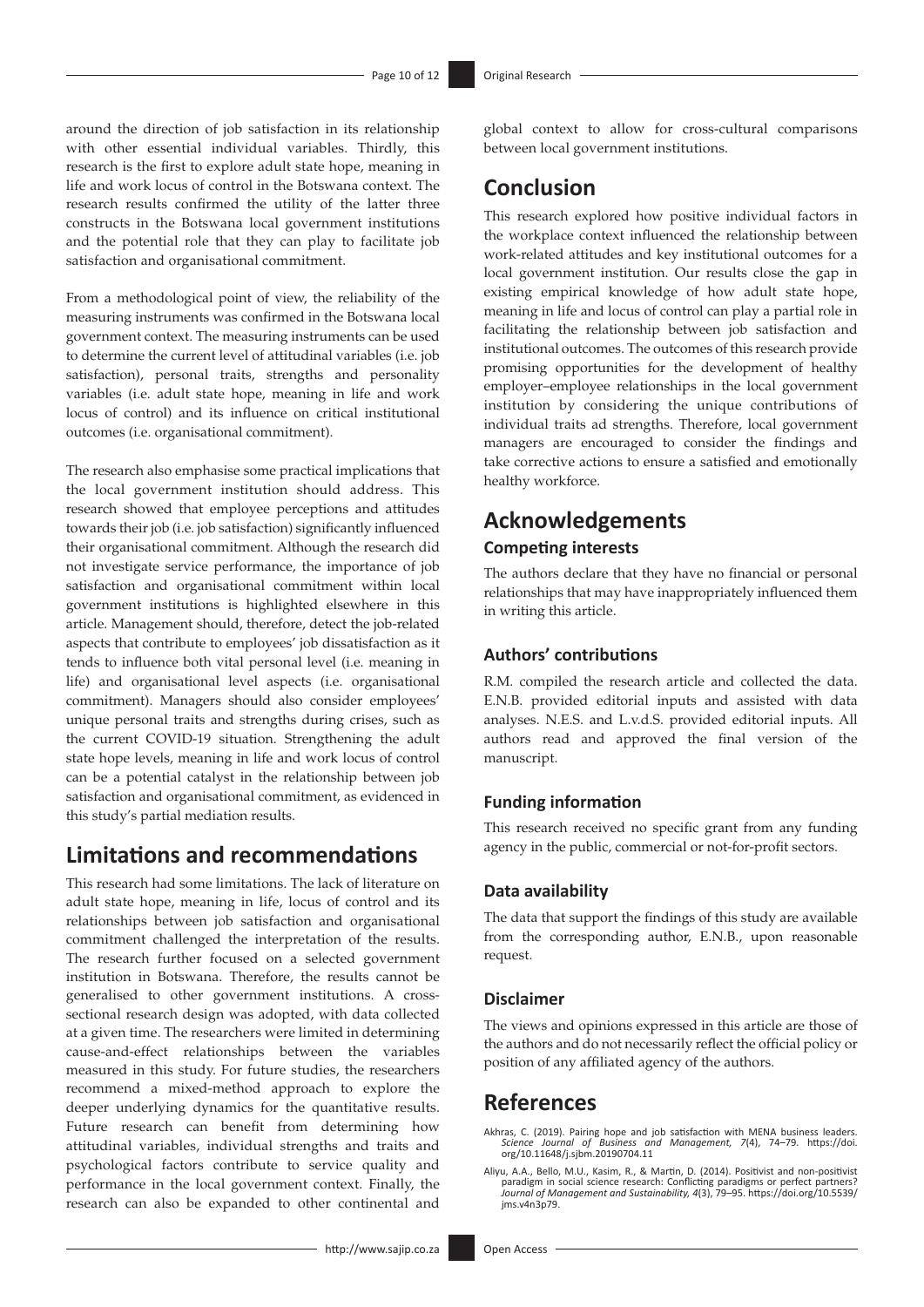around the direction of job satisfaction in its relationship with other essential individual variables. Thirdly, this research is the first to explore adult state hope, meaning in life and work locus of control in the Botswana context. The research results confirmed the utility of the latter three constructs in the Botswana local government institutions and the potential role that they can play to facilitate job satisfaction and organisational commitment.

From a methodological point of view, the reliability of the measuring instruments was confirmed in the Botswana local government context. The measuring instruments can be used to determine the current level of attitudinal variables (i.e. job satisfaction), personal traits, strengths and personality variables (i.e. adult state hope, meaning in life and work locus of control) and its influence on critical institutional outcomes (i.e. organisational commitment).

The research also emphasise some practical implications that the local government institution should address. This research showed that employee perceptions and attitudes towards their job (i.e. job satisfaction) significantly influenced their organisational commitment. Although the research did not investigate service performance, the importance of job satisfaction and organisational commitment within local government institutions is highlighted elsewhere in this article. Management should, therefore, detect the job-related aspects that contribute to employees' job dissatisfaction as it tends to influence both vital personal level (i.e. meaning in life) and organisational level aspects (i.e. organisational commitment). Managers should also consider employees' unique personal traits and strengths during crises, such as the current COVID-19 situation. Strengthening the adult state hope levels, meaning in life and work locus of control can be a potential catalyst in the relationship between job satisfaction and organisational commitment, as evidenced in this study's partial mediation results.

# **Limitations and recommendations**

This research had some limitations. The lack of literature on adult state hope, meaning in life, locus of control and its relationships between job satisfaction and organisational commitment challenged the interpretation of the results. The research further focused on a selected government institution in Botswana. Therefore, the results cannot be generalised to other government institutions. A crosssectional research design was adopted, with data collected at a given time. The researchers were limited in determining cause-and-effect relationships between the variables measured in this study. For future studies, the researchers recommend a mixed-method approach to explore the deeper underlying dynamics for the quantitative results. Future research can benefit from determining how attitudinal variables, individual strengths and traits and psychological factors contribute to service quality and performance in the local government context. Finally, the research can also be expanded to other continental and

global context to allow for cross-cultural comparisons between local government institutions.

# **Conclusion**

This research explored how positive individual factors in the workplace context influenced the relationship between work-related attitudes and key institutional outcomes for a local government institution. Our results close the gap in existing empirical knowledge of how adult state hope, meaning in life and locus of control can play a partial role in facilitating the relationship between job satisfaction and institutional outcomes. The outcomes of this research provide promising opportunities for the development of healthy employer–employee relationships in the local government institution by considering the unique contributions of individual traits ad strengths. Therefore, local government managers are encouraged to consider the findings and take corrective actions to ensure a satisfied and emotionally healthy workforce.

# **Acknowledgements**

# **Competing interests**

The authors declare that they have no financial or personal relationships that may have inappropriately influenced them in writing this article.

# **Authors' contributions**

R.M. compiled the research article and collected the data. E.N.B. provided editorial inputs and assisted with data analyses. N.E.S. and L.v.d.S. provided editorial inputs. All authors read and approved the final version of the manuscript.

# **Funding information**

This research received no specific grant from any funding agency in the public, commercial or not-for-profit sectors.

## **Data availability**

The data that support the findings of this study are available from the corresponding author, E.N.B., upon reasonable request.

## **Disclaimer**

The views and opinions expressed in this article are those of the authors and do not necessarily reflect the official policy or position of any affiliated agency of the authors.

# **References**

Akhras, C. (2019). Pairing hope and job satisfaction with MENA business leaders.<br>*Science Journal of Business and Management, 7*(4), 74–79. [https://doi.](https://doi.org/10.11648/j.sjbm.20190704.11)<br>[org/10.11648/j.sjbm.20190704.11](https://doi.org/10.11648/j.sjbm.20190704.11)

Aliyu, A.A., Bello, M.U., Kasim, R., & Martin, D. (2014). Positivist and non-positivist paradigm in social science research: Conflicting paradigms or perfect partners? *Journal of Management and Sustainability, 4*(3), 79–95. [https://doi.org/10.5539/](https://doi.org/10.5539/jms.v4n3p79) [jms.v4n3p79](https://doi.org/10.5539/jms.v4n3p79).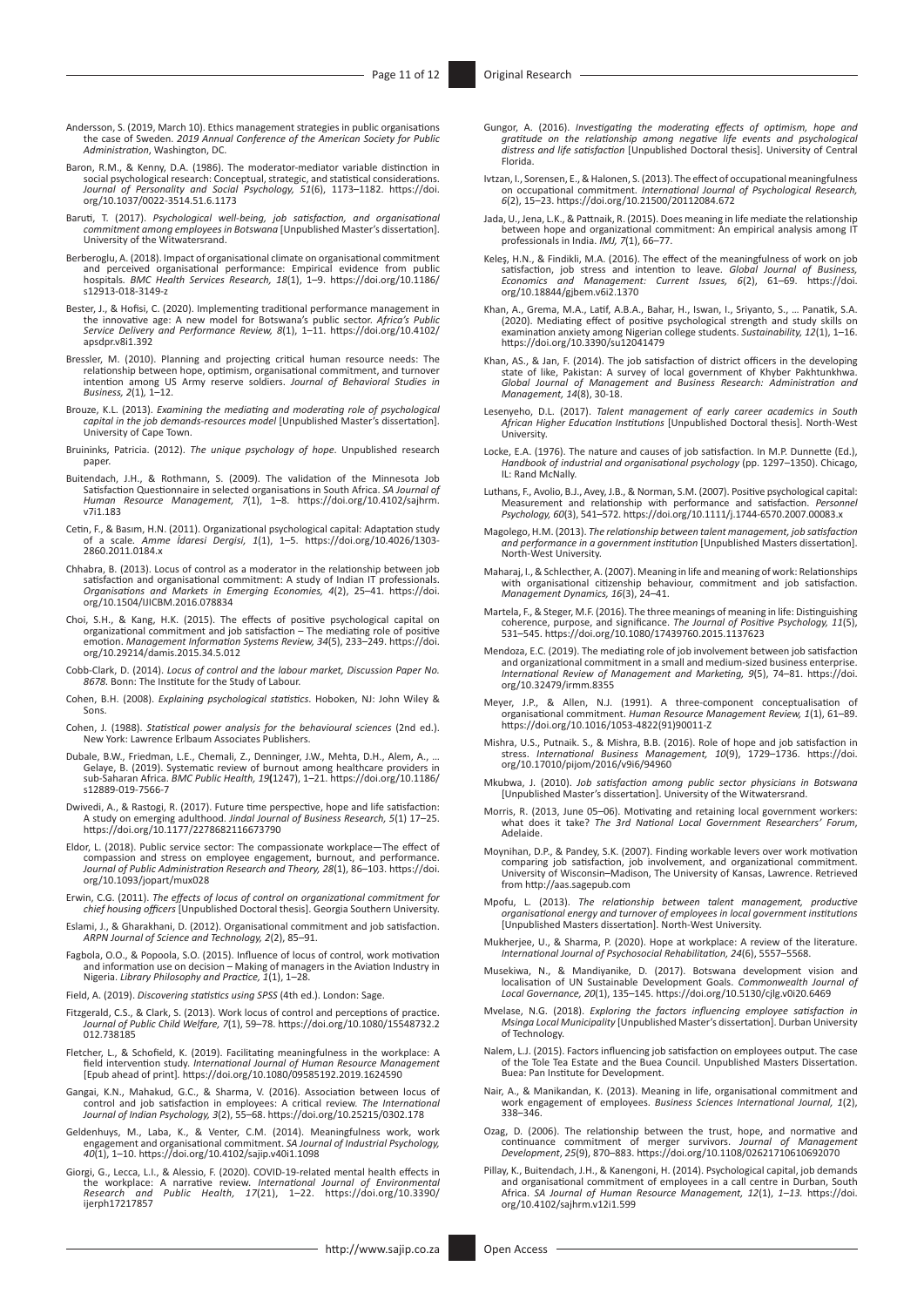- Andersson, S. (2019, March 10). Ethics management strategies in public organisations the case of Sweden. *2019 Annual Conference of the American Society for Public Administration*, Washington, DC.
- Baron, R.M., & Kenny, D.A. (1986). The moderator-mediator variable distinction in social psychological research: Conceptual, strategic, and statistical considerations. *Journal of Personality and Social Psychology, 51*(6), 1173–1182. [https://doi.](https://doi.org/10.1037/0022-3514.51.6.1173) [org/10.1037/0022-3514.51.6.1173](https://doi.org/10.1037/0022-3514.51.6.1173)
- Baruti, T. (2017). *Psychological well-being, job satisfaction, and organisational commitment among employees in Botswana* [Unpublished Master's dissertation]. University of the Witwatersrand.
- Berberoglu, A. (2018). Impact of organisational climate on organisational commitment<br>and perceived organisational performance: Empirical evidence from public<br>hospitals. BMC Health Services Research, 18(1), 1–9. https://doi [s12913-018-3149-z](https://doi.org/10.1186/s12913-018-3149-z)
- Bester, J., & Hofisi, C. (2020). Implementing traditional performance management in the innovative age: A new model for Botswana's public sector. *Africa's Public Service Delivery and Performance Review, 8*(1), 1–11. [https://doi.org/10.4102/](https://doi.org/10.4102/apsdpr.v8i1.392) [apsdpr.v8i1.392](https://doi.org/10.4102/apsdpr.v8i1.392)
- Bressler, M. (2010). Planning and projecting critical human resource needs: The relationship between hope, optimism, organisational commitment, and turnover intention among US Army reserve soldiers. *Journal of Behavioral Studies in Business, 2*(1)*,* 1–12.
- Brouze, K.L. (2013). *Examining the mediating and moderating role of psychological capital in the job demands-resources model* [Unpublished Master's dissertation]. University of Cape Town.
- Bruininks, Patricia. (2012). *The unique psychology of hope*. Unpublished research paper.
- Buitendach, J.H., & Rothmann, S. (2009). The validation of the Minnesota Job Satisfaction Questionnaire in selected organisations in South Africa. *SA Journal of Human Resource Management, 7*(1), 1–8. [https://doi.org/10.4102/sajhrm.](https://doi.org/10.4102/sajhrm.v7i1.183) [v7i1.183](https://doi.org/10.4102/sajhrm.v7i1.183)
- Cetin, F., & Basım, H.N. (2011). Organizational psychological capital: Adaptation study of a scale*. Amme İdaresi Dergisi, 1*(1), 1–5. [https://doi.org/10.4026/1303-](https://doi.org/10.4026/1303-2860.2011.0184.x) [2860.2011.0184.x](https://doi.org/10.4026/1303-2860.2011.0184.x)
- Chhabra, B. (2013). Locus of control as a moderator in the relationship between job satisfaction and organisational commitment: A study of Indian IT professionals. *Organisations and Markets in Emerging Economies, 4*(2), 25–41. [https://doi.](https://doi.org/10.1504/IJICBM.2016.078834) [org/10.1504/IJICBM.2016.078834](https://doi.org/10.1504/IJICBM.2016.078834)
- Choi, S.H., & Kang, H.K. (2015). The effects of positive psychological capital on organizational commitment and job satisfaction The mediating role of positive emotion. *Management Information Systems Review, 34*(5), 233–249. [https://doi.](https://doi.org/10.29214/damis.2015.34.5.012) [org/10.29214/damis.2015.34.5.012](https://doi.org/10.29214/damis.2015.34.5.012)
- Cobb-Clark, D. (2014). *Locus of control and the labour market, Discussion Paper No. 8678.* Bonn: The Institute for the Study of Labour.
- Cohen, B.H. (2008). *Explaining psychological statistics*. Hoboken, NJ: John Wiley & Sons.
- Cohen, J. (1988). *Statistical power analysis for the behavioural sciences* (2nd ed.). New York: Lawrence Erlbaum Associates Publishers.
- Dubale, B.W., Friedman, L.E., Chemali, Z., Denninger, J.W., Mehta, D.H., Alem, A., … Gelaye, B. (2019). Systematic review of burnout among healthcare providers in sub-Saharan Africa. *BMC Public Health, 19***(**1247), 1–21. [https://doi.org/10.1186/](https://doi.org/10.1186/s12889-019-7566-7) [s12889-019-7566-7](https://doi.org/10.1186/s12889-019-7566-7)
- Dwivedi, A., & Rastogi, R. (2017). Future time perspective, hope and life satisfaction: A study on emerging adulthood. *Jindal Journal of Business Research, 5*(1) 17–25. <https://doi.org/10.1177/2278682116673790>
- Eldor, L. (2018). Public service sector: The compassionate workplace—The effect of compassion and stress on employee engagement, burnout, and performance. *Journal of Public Administration Research and Theory, 28*(1), 86–103. [https://doi.](https://doi.org/10.1093/jopart/mux028) [org/10.1093/jopart/mux028](https://doi.org/10.1093/jopart/mux028)
- Erwin, C.G. (2011). *The effects of locus of control on organizational commitment for chief housing officers* [Unpublished Doctoral thesis]. Georgia Southern University.
- Eslami, J., & Gharakhani, D. (2012). Organisational commitment and job satisfaction. *ARPN Journal of Science and Technology, 2*(2), 85–91.
- Fagbola, O.O., & Popoola, S.O. (2015). Influence of locus of control, work motivation<br>and information use on decision Making of managers in the Aviation Industry in<br>Nigeria. Library Philosophy and Practice, 1(1), 1–28.
- Field, A. (2019). *Discovering statistics using SPSS* (4th ed.). London: Sage.
- Fitzgerald, C.S., & Clark, S. (2013). Work locus of control and perceptions of practice. *Journal of Public Child Welfare, 7*(1), 59–78. [https://doi.org/10.1080/15548732.2](https://doi.org/10.1080/15548732.2012.738185) [012.738185](https://doi.org/10.1080/15548732.2012.738185)
- Fletcher, L., & Schofield, K. (2019). Facilitating meaningfulness in the workplace: A field intervention study. *International Journal of Human Resource Management*  [Epub ahead of print]*.* <https://doi.org/10.1080/09585192.2019.1624590>
- Gangai, K.N., Mahakud, G.C., & Sharma, V. (2016). Association between locus of control and job satisfaction in employees: A critical review. *The International Journal of Indian Psychology, 3*(2), 55–68. <https://doi.org/10.25215/0302.178>
- Geldenhuys, M., Laba, K., & Venter, C.M. (2014). Meaningfulness work, work engagement and organisational commitment. *SA Journal of Industrial Psychology, 40*(1), 1–10. <https://doi.org/10.4102/sajip.v40i1.1098>
- Giorgi, G., Lecca, L.I., & Alessio, F. (2020). COVID-19-related mental health effects in the workplace: A narrative review*. International Journal of Environmental Research and Public Health, 17*(21), 1–22. [https://doi.org/10.3390/](https://doi.org/10.3390/ijerph17217857) [ijerph17217857](https://doi.org/10.3390/ijerph17217857)
- Gungor, A. (2016). Investigating the moderating effects of optimism, hope and<br>gratitude on the relationship among negative life events and psychological<br>distress and life satisfaction [Unpublished Doctoral thesis]. Univers Florida.
- Ivtzan, I., Sorensen, E., & Halonen, S. (2013). The effect of occupational meaningfulness on occupational commitment. *International Journal of Psychological Research, 6*(2), 15–23. <https://doi.org/10.21500/20112084.672>
- Jada, U., Jena, L.K., & Pattnaik, R. (2015). Does meaning in life mediate the relationship between hope and organizational commitment: An empirical analysis among IT professionals in India. *IMJ, 7*(1), 66–77.
- Keleş, H.N., & Findikli, M.A. (2016). The effect of the meaningfulness of work on job satisfaction, job stress and intention to leave. *Global Journal of Business, Economics and Management: Current Issues, 6*(2), 61–69. [https://doi.](https://doi.org/10.18844/gjbem.v6i2.1370) [org/10.18844/gjbem.v6i2.1370](https://doi.org/10.18844/gjbem.v6i2.1370)
- Khan, A., Grema, M.A., Latif, A.B.A., Bahar, H., Iswan, I., Sriyanto, S., … Panatik, S.A. (2020). Mediating effect of positive psychological strength and study skills on examination anxiety among Nigerian college students. *Sustainability, 12*(1), 1–16. <https://doi.org/10.3390/su12041479>
- Khan, AS., & Jan, F. (2014). The job satisfaction of district officers in the developing state of like, Pakistan: A survey of local government of Khyber Pakhtunkhwa. *Global Journal of Management and Business Research: Administration and Management, 14*(8), 30-18.
- Lesenyeho, D.L. (2017). *Talent management of early career academics in South African Higher Education Institutions* [Unpublished Doctoral thesis]. North-West University.
- Locke, E.A. (1976). The nature and causes of job satisfaction. In M.P. Dunnette (Ed.), *Handbook of industrial and organisational psychology* (pp. 1297–1350). Chicago, IL: Rand McNally.
- Luthans, F., Avolio, B.J., Avey, J.B., & Norman, S.M. (2007). Positive psychological capital: Measurement and relationship with performance and satisfaction. *Personnel Psychology, 60*(3), 541–572. <https://doi.org/10.1111/j.1744-6570.2007.00083.x>
- Magolego, H.M. (2013). *The relationship between talent management, job satisfaction and performance in a government institution* [Unpublished Masters dissertation]. North-West University.
- Maharaj, I., & Schlecther, A. (2007). Meaning in life and meaning of work: Relationships with organisational citizenship behaviour, commitment and job satisfaction. *Management Dynamics, 16*(3), 24–41.
- Martela, F., & Steger, M.F. (2016). The three meanings of meaning in life: Distinguishing coherence, purpose, and significance. *The Journal of Positive Psychology, 11*(5), 531–545.<https://doi.org/10.1080/17439760.2015.1137623>
- Mendoza, E.C. (2019). The mediating role of job involvement between job satisfaction and organizational commitment in a small and medium-sized business enterprise. *International Review of Management and Marketing, 9*(5), 74–81. [https://doi.](https://doi.org/10.32479/irmm.8355) [org/10.32479/irmm.8355](https://doi.org/10.32479/irmm.8355)
- Meyer, J.P., & Allen, N.J. (1991). A three-component conceptualisation of organisational commitment. *Human Resource Management Review, 1*(1), 61–89. [https://doi.org/10.1016/1053-4822\(91\)90011-Z](https://doi.org/10.1016/1053-4822(91)90011-Z)
- Mishra, U.S., Putnaik. S., & Mishra, B.B. (2016). Role of hope and job satisfaction in stress. *International Business Management, 10*(9), 1729–1736. [https://doi.](https://doi.org/10.17010/pijom/2016/v9i6/94960) [org/10.17010/pijom/2016/v9i6/94960](https://doi.org/10.17010/pijom/2016/v9i6/94960)
- Mkubwa, J. (2010). *Job satisfaction among public sector physicians in Botswana*  [Unpublished Master's dissertation]. University of the Witwatersrand.
- Morris, R. (2013, June 05–06). Motivating and retaining local government workers: what does it take? *The 3rd National Local Government Researchers' Forum*, Adelaide.
- Moynihan, D.P., & Pandey, S.K. (2007). Finding workable levers over work motivation comparing job satisfaction, job involvement, and organizational commitment. University of Wisconsin–Madison, The University of Kansas, Lawrence. Retrieved from<http://aas.sagepub.com>
- Mpofu, L. (2013). *The relationship between talent management, productive organisational energy and turnover of employees in local government institutions* [Unpublished Masters dissertation]. North-West University.
- Mukherjee, U., & Sharma, P. (2020). Hope at workplace: A review of the literature. *International Journal of Psychosocial Rehabilitation, 24*(6), 5557–5568.
- Musekiwa, N., & Mandiyanike, D. (2017). Botswana development vision and localisation of UN Sustainable Development Goals. *Commonwealth Journal of Local Governance, 20*(1), 135–145. <https://doi.org/10.5130/cjlg.v0i20.6469>
- Mvelase, N.G. (2018). *Exploring the factors influencing employee satisfaction in Msinga Local Municipality* [Unpublished Master's dissertation]. Durban University of Technology.
- Nalem, L.J. (2015). Factors influencing job satisfaction on employees output. The case of the Tole Tea Estate and the Buea Council. Unpublished Masters Dissertation. Buea: Pan Institute for Development.
- Nair, A., & Manikandan, K. (2013). Meaning in life, organisational commitment and work engagement of employees. *Business Sciences International Journal, 1*(2), 338–346.
- Ozag, D. (2006). The relationship between the trust, hope, and normative and continuance commitment of merger survivors. *Journal of Management Development*, *25*(9), 870–883.<https://doi.org/10.1108/02621710610692070>
- Pillay, K., Buitendach, J.H., & Kanengoni, H. (2014). Psychological capital, job demands and organisational commitment of employees in a call centre in Durban, South Africa. *SA Journal of Human Resource Management, 12*(1), *1–13.* [https://doi.](https://doi.org/10.4102/sajhrm.v12i1.599) [org/10.4102/sajhrm.v12i1.599](https://doi.org/10.4102/sajhrm.v12i1.599)